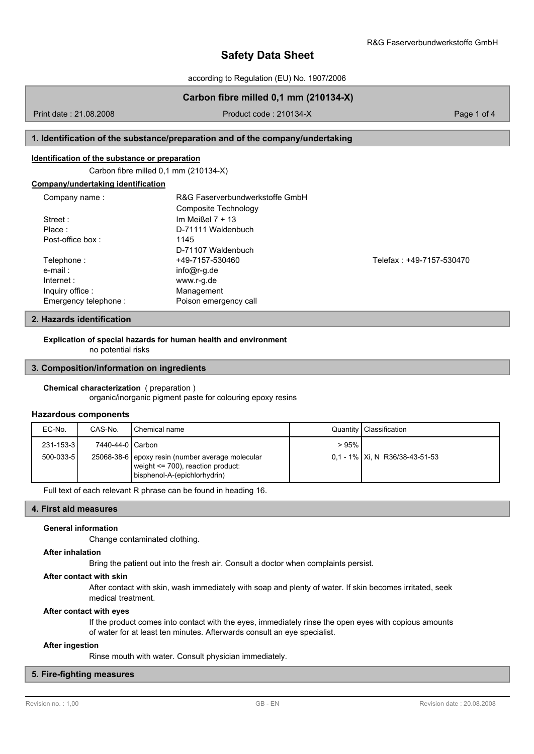according to Regulation (EU) No. 1907/2006

# **Carbon fibre milled 0,1 mm (210134-X)**

Print date : 21.08.2008 Product code : 210134-X Page 1 of 4

## **1. Identification of the substance/preparation and of the company/undertaking**

### **Identification of the substance or preparation**

Carbon fibre milled 0,1 mm (210134-X)

| Company name:        | R&G Faserverbundwerkstoffe GmbH |                          |
|----------------------|---------------------------------|--------------------------|
|                      | Composite Technology            |                          |
| Street:              | Im Meißel $7 + 13$              |                          |
| Place:               | D-71111 Waldenbuch              |                          |
| Post-office box:     | 1145                            |                          |
|                      | D-71107 Waldenbuch              |                          |
| Telephone:           | +49-7157-530460                 | Telefax: +49-7157-530470 |
| e-mail:              | $info@r-q.de$                   |                          |
| Internet:            | www.r-g.de                      |                          |
| Inquiry office:      | Management                      |                          |
| Emergency telephone: | Poison emergency call           |                          |

## **2. Hazards identification**

**Explication of special hazards for human health and environment**

no potential risks

### **3. Composition/information on ingredients**

### **Chemical characterization** ( preparation )

organic/inorganic pigment paste for colouring epoxy resins

### **Hazardous components**

| EC-No.           | CAS-No.          | I Chemical name                                                                                                           |      | Quantity   Classification         |
|------------------|------------------|---------------------------------------------------------------------------------------------------------------------------|------|-----------------------------------|
| $231 - 153 - 31$ | 7440-44-0 Carbon |                                                                                                                           | >95% |                                   |
| $500 - 033 - 51$ |                  | 25068-38-6 epoxy resin (number average molecular<br>weight $\leq$ 700), reaction product:<br>bisphenol-A-(epichlorhydrin) |      | $0.1 - 1\%$ Xi, N R36/38-43-51-53 |

Full text of each relevant R phrase can be found in heading 16.

## **4. First aid measures**

### **General information**

Change contaminated clothing.

### **After inhalation**

Bring the patient out into the fresh air. Consult a doctor when complaints persist.

#### **After contact with skin**

After contact with skin, wash immediately with soap and plenty of water. If skin becomes irritated, seek medical treatment.

### **After contact with eyes**

If the product comes into contact with the eyes, immediately rinse the open eyes with copious amounts of water for at least ten minutes. Afterwards consult an eye specialist.

### **After ingestion**

Rinse mouth with water. Consult physician immediately.

## **5. Fire-fighting measures**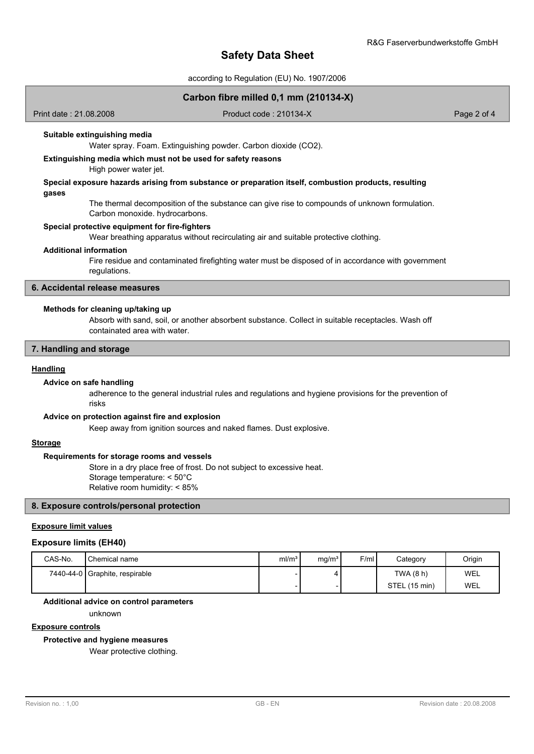# **Safety Data Sheet**

according to Regulation (EU) No. 1907/2006

### **Carbon fibre milled 0,1 mm (210134-X)**

Print date : 21.08.2008 Product code : 210134-X Product code : 210134-X Page 2 of 4

### **Suitable extinguishing media**

Water spray. Foam. Extinguishing powder. Carbon dioxide (CO2).

## **Extinguishing media which must not be used for safety reasons**

High power water jet.

### **Special exposure hazards arising from substance or preparation itself, combustion products, resulting gases**

The thermal decomposition of the substance can give rise to compounds of unknown formulation. Carbon monoxide. hydrocarbons.

### **Special protective equipment for fire-fighters**

Wear breathing apparatus without recirculating air and suitable protective clothing.

#### **Additional information**

Fire residue and contaminated firefighting water must be disposed of in accordance with government regulations.

### **6. Accidental release measures**

### **Methods for cleaning up/taking up**

Absorb with sand, soil, or another absorbent substance. Collect in suitable receptacles. Wash off containated area with water.

## **7. Handling and storage**

#### **Handling**

### **Advice on safe handling**

adherence to the general industrial rules and regulations and hygiene provisions for the prevention of risks

### **Advice on protection against fire and explosion**

Keep away from ignition sources and naked flames. Dust explosive.

## **Storage**

### **Requirements for storage rooms and vessels**

Store in a dry place free of frost. Do not subject to excessive heat. Storage temperature: < 50°C Relative room humidity: < 85%

## **8. Exposure controls/personal protection**

## **Exposure limit values**

#### **Exposure limits (EH40)**

| CAS-No. | Chemical name                  | ml/m <sup>3</sup> | mq/m <sup>3</sup> | F/ml | Category      | Origin |
|---------|--------------------------------|-------------------|-------------------|------|---------------|--------|
|         | 7440-44-0 Graphite, respirable |                   |                   |      | TWA (8 h)     | WEL    |
|         |                                |                   |                   |      | STEL (15 min) | WEL    |

#### **Additional advice on control parameters**

unknown

## **Exposure controls**

**Protective and hygiene measures**

Wear protective clothing.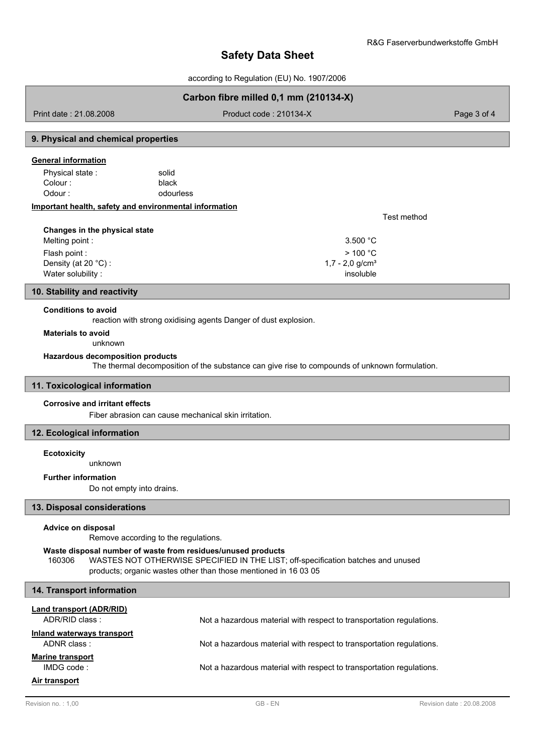Test method

# **Safety Data Sheet**

according to Regulation (EU) No. 1907/2006

## **Carbon fibre milled 0,1 mm (210134-X)**

Print date : 21.08.2008 Product code : 210134-X Product code : 210134-X Page 3 of 4

## **9. Physical and chemical properties**

### **General information**

black Physical state : solid Colour : Odour : contract of the odourless

### **Important health, safety and environmental information**

| Changes in the physical state |                    |
|-------------------------------|--------------------|
| Melting point:                | 3.500 $^{\circ}$ C |
| Flash point :                 | $>$ 100 °C.        |
| Density (at 20 $°C$ ) :       | 1,7 - 2,0 $q/cm3$  |
| Water solubility:             | insoluble          |

### **10. Stability and reactivity**

### **Conditions to avoid**

reaction with strong oxidising agents Danger of dust explosion.

### **Materials to avoid**

unknown

## **Hazardous decomposition products**

The thermal decomposition of the substance can give rise to compounds of unknown formulation.

### **11. Toxicological information**

### **Corrosive and irritant effects**

Fiber abrasion can cause mechanical skin irritation.

## **12. Ecological information**

### **Ecotoxicity**

unknown

## **Further information**

Do not empty into drains.

### **13. Disposal considerations**

#### **Advice on disposal**

Remove according to the regulations.

#### **Waste disposal number of waste from residues/unused products**

160306 WASTES NOT OTHERWISE SPECIFIED IN THE LIST; off-specification batches and unused products; organic wastes other than those mentioned in 16 03 05

| 14. Transport information                  |                                                                      |
|--------------------------------------------|----------------------------------------------------------------------|
| Land transport (ADR/RID)<br>ADR/RID class: | Not a hazardous material with respect to transportation regulations. |
| Inland waterways transport<br>ADNR class:  | Not a hazardous material with respect to transportation regulations. |
| <b>Marine transport</b><br>IMDGcode:       | Not a hazardous material with respect to transportation regulations. |
| Air transport                              |                                                                      |